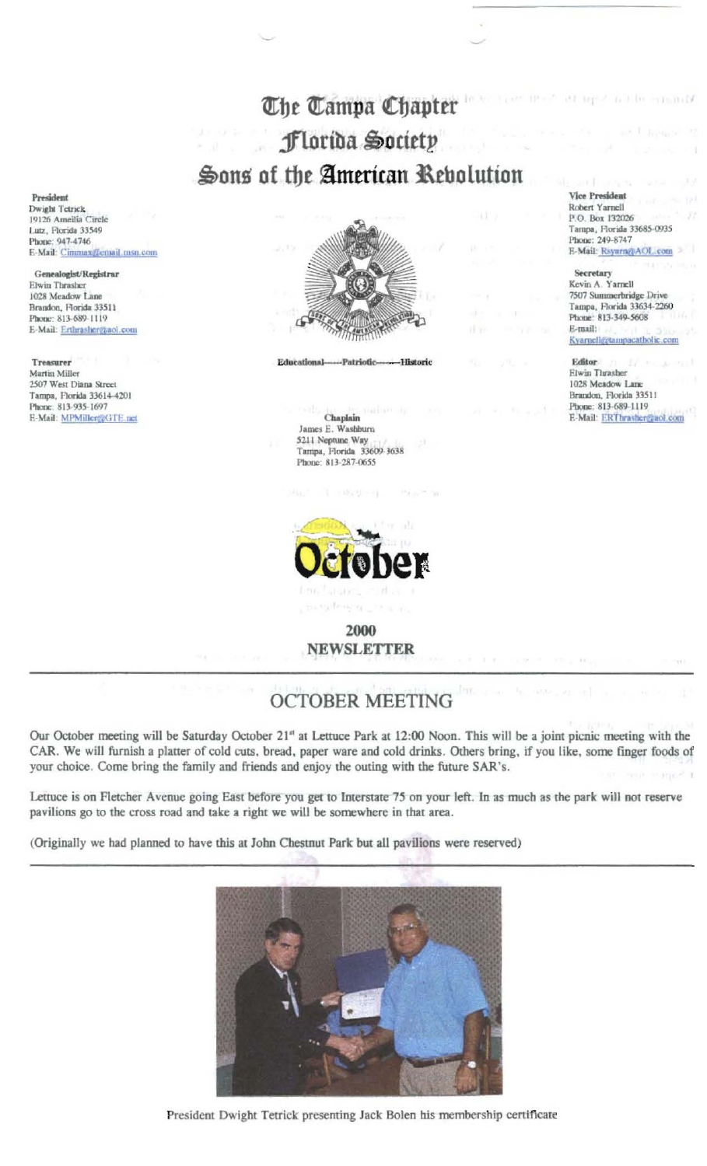## The Tampa Chapter Florida Society Sons of the American Rebolution

President Dwight Tetrick 19126 Ameilia Circle Lutz, Florida 33549 Phone: 947-4746 E-Mail: Cimmax@email.msn.com

Genealogist/Registrar Elwin Thrasher 1028 Meadow Lane Brandon, Florida 33511 Phone: 813-689-1119 E-Mail: Erthrasher@aol.com

Treasurer Martin Miller 2507 West Diana Street Tampa, Florida 33614-4201 Phone: 813-935-1697 E-Mail: MPMiller@GTE.rict



**Educational** Patriotic **Historic** 

## Chaplain James E. Washburn 5211 Neptune Way Tampa, Florida 33609-3638 Phone: 813-287-0655



2000 **NEWSLETTER** 

## **OCTOBER MEETING**

Our October meeting will be Saturday October 21<sup>a</sup> at Lettuce Park at 12:00 Noon. This will be a joint picnic meeting with the CAR. We will furnish a platter of cold cuts, bread, paper ware and cold drinks. Others bring, if you like, some finger foods of your choice. Come bring the family and friends and enjoy the outing with the future SAR's.

Lettuce is on Fletcher Avenue going East before you get to Interstate 75 on your left. In as much as the park will not reserve pavilions go to the cross road and take a right we will be somewhere in that area.

(Originally we had planned to have this at John Chestnut Park but all pavilions were reserved)



President Dwight Tetrick presenting Jack Bolen his membership certificate

**Vice President** Robert Yarnell P.O. Box 132026 Tampa, Florida 33685-0935 Phone: 249-8747 E-Mail: Rsyarn@AOL.com

tressed in 1980.

 $-11.04$ 

Secretary Kevin A. Yarnell 7507 Summerbridge Drive Tampa, Florida 33634-2260 Phone: 813-349-5608 E-mail: Ryarnell@tampacatholic.com

Editor Elwin Thrasher 1028 Meadow Lane Brandon, Florida 33511 Phone: 813-689-1119 E-Mail: ERThrasher@aol.com